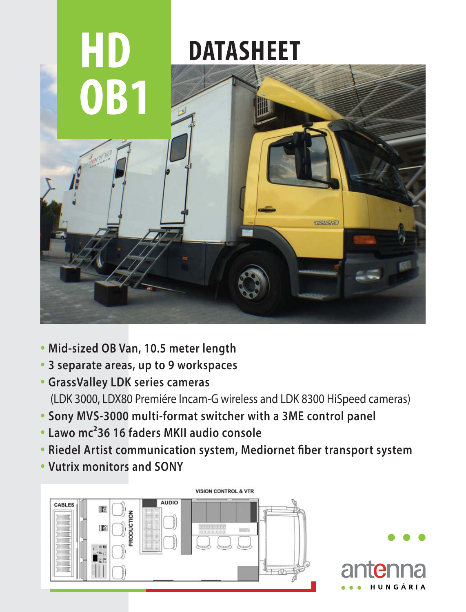

- **Mid-sized OB Van, 10.5 meter length**
- **3 separate areas, up to 9 workspaces**
- **GrassValley LDK series cameras**  (LDK 3000, LDX80 Premiére Incam-G wireless and LDK 8300 HiSpeed cameras)
- **Sony MVS-3000 multi-format switcher with a 3ME control panel**
- **Lawo mc²36 16 faders MKII audio console**
- **Riedel Artist communication system, Mediornet fiber transport system**
- **Vutrix monitors and SONY**